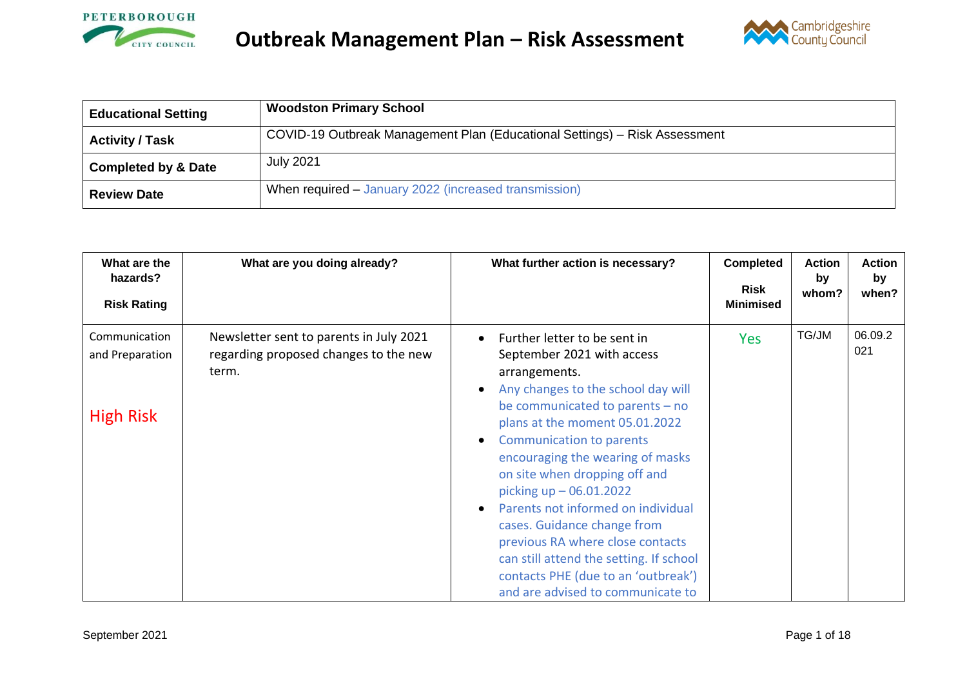



| <b>Educational Setting</b>     | <b>Woodston Primary School</b>                                             |
|--------------------------------|----------------------------------------------------------------------------|
| Activity / Task                | COVID-19 Outbreak Management Plan (Educational Settings) – Risk Assessment |
| <b>Completed by &amp; Date</b> | <b>July 2021</b>                                                           |
| <b>Review Date</b>             | When required – January 2022 (increased transmission)                      |

| What are the<br>hazards?<br><b>Risk Rating</b>       | What are you doing already?                                                               | What further action is necessary?                                                                                                                                                                                                                                                                                                                                                                                                                                                                                                                             | <b>Completed</b><br><b>Risk</b><br><b>Minimised</b> | <b>Action</b><br>by<br>whom? | <b>Action</b><br>by<br>when? |
|------------------------------------------------------|-------------------------------------------------------------------------------------------|---------------------------------------------------------------------------------------------------------------------------------------------------------------------------------------------------------------------------------------------------------------------------------------------------------------------------------------------------------------------------------------------------------------------------------------------------------------------------------------------------------------------------------------------------------------|-----------------------------------------------------|------------------------------|------------------------------|
| Communication<br>and Preparation<br><b>High Risk</b> | Newsletter sent to parents in July 2021<br>regarding proposed changes to the new<br>term. | Further letter to be sent in<br>September 2021 with access<br>arrangements.<br>Any changes to the school day will<br>be communicated to parents $-$ no<br>plans at the moment 05.01.2022<br><b>Communication to parents</b><br>encouraging the wearing of masks<br>on site when dropping off and<br>picking $up - 06.01.2022$<br>Parents not informed on individual<br>cases. Guidance change from<br>previous RA where close contacts<br>can still attend the setting. If school<br>contacts PHE (due to an 'outbreak')<br>and are advised to communicate to | <b>Yes</b>                                          | TG/JM                        | 06.09.2<br>021               |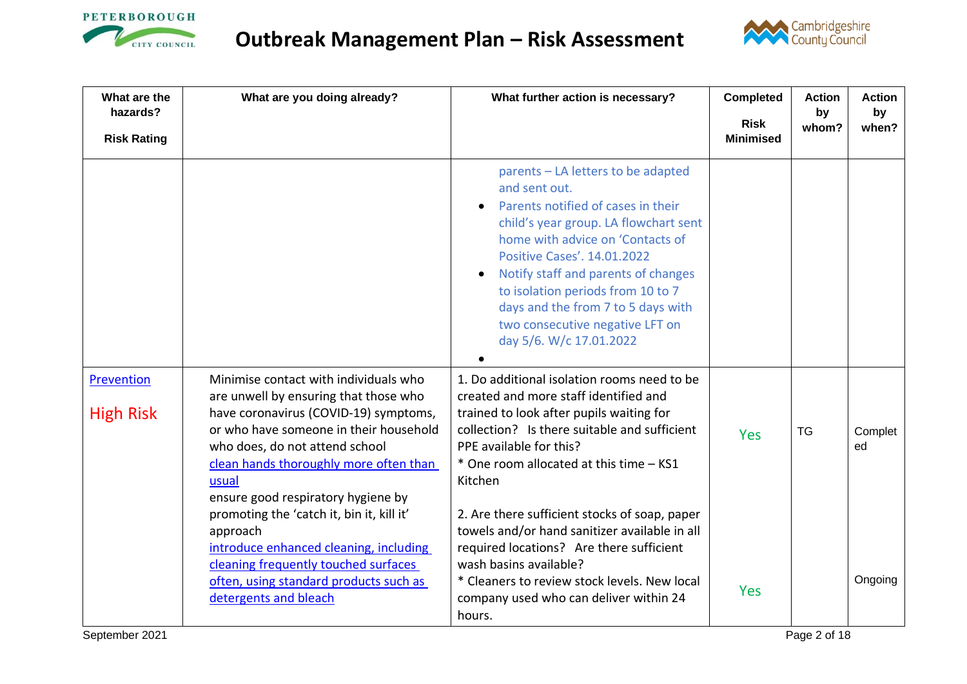



| What are the<br>hazards?       | What are you doing already?                                                                                                                                                                                                                                                                  | What further action is necessary?                                                                                                                                                                                                                                                                                                                                                            | <b>Completed</b>                | <b>Action</b><br>by | <b>Action</b><br>by |
|--------------------------------|----------------------------------------------------------------------------------------------------------------------------------------------------------------------------------------------------------------------------------------------------------------------------------------------|----------------------------------------------------------------------------------------------------------------------------------------------------------------------------------------------------------------------------------------------------------------------------------------------------------------------------------------------------------------------------------------------|---------------------------------|---------------------|---------------------|
| <b>Risk Rating</b>             |                                                                                                                                                                                                                                                                                              |                                                                                                                                                                                                                                                                                                                                                                                              | <b>Risk</b><br><b>Minimised</b> | whom?               | when?               |
|                                |                                                                                                                                                                                                                                                                                              | parents - LA letters to be adapted<br>and sent out.<br>Parents notified of cases in their<br>child's year group. LA flowchart sent<br>home with advice on 'Contacts of<br><b>Positive Cases'. 14.01.2022</b><br>Notify staff and parents of changes<br>to isolation periods from 10 to 7<br>days and the from 7 to 5 days with<br>two consecutive negative LFT on<br>day 5/6. W/c 17.01.2022 |                                 |                     |                     |
| Prevention<br><b>High Risk</b> | Minimise contact with individuals who<br>are unwell by ensuring that those who<br>have coronavirus (COVID-19) symptoms,<br>or who have someone in their household<br>who does, do not attend school<br>clean hands thoroughly more often than<br>usual<br>ensure good respiratory hygiene by | 1. Do additional isolation rooms need to be<br>created and more staff identified and<br>trained to look after pupils waiting for<br>collection? Is there suitable and sufficient<br>PPE available for this?<br>* One room allocated at this time - KS1<br>Kitchen                                                                                                                            | <b>Yes</b>                      | <b>TG</b>           | Complet<br>ed       |
|                                | promoting the 'catch it, bin it, kill it'<br>approach<br>introduce enhanced cleaning, including<br>cleaning frequently touched surfaces<br>often, using standard products such as<br>detergents and bleach                                                                                   | 2. Are there sufficient stocks of soap, paper<br>towels and/or hand sanitizer available in all<br>required locations? Are there sufficient<br>wash basins available?<br>* Cleaners to review stock levels. New local<br>company used who can deliver within 24<br>hours.                                                                                                                     | <b>Yes</b>                      |                     | Ongoing             |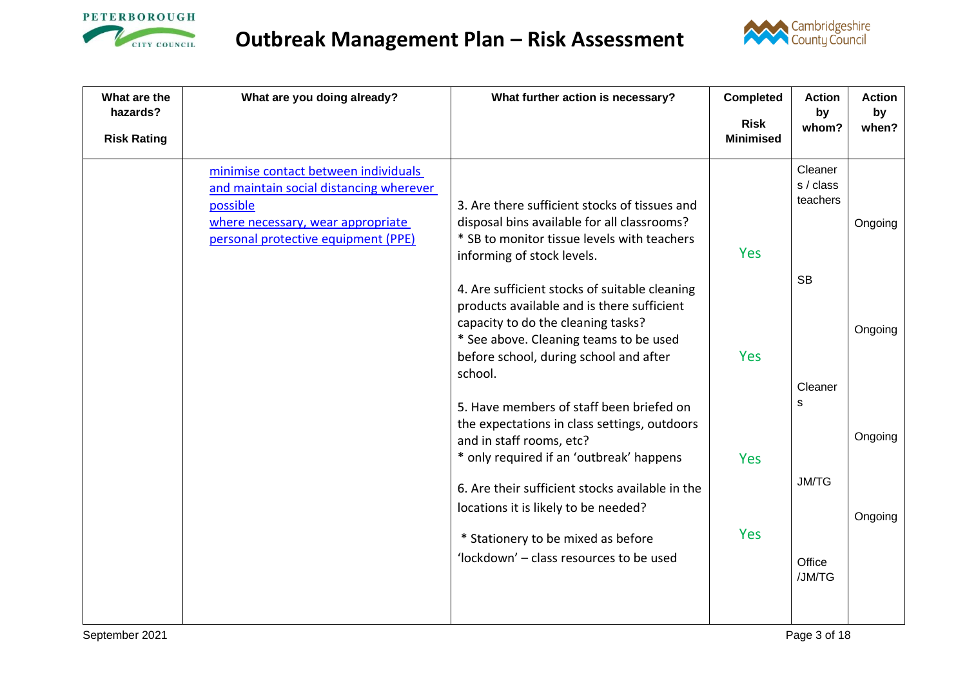



| What are the<br>hazards? | What are you doing already?                                                                                                                                             | What further action is necessary?                                                                                                                                                                                                                           | <b>Completed</b>                | <b>Action</b><br>by              | <b>Action</b><br>by |
|--------------------------|-------------------------------------------------------------------------------------------------------------------------------------------------------------------------|-------------------------------------------------------------------------------------------------------------------------------------------------------------------------------------------------------------------------------------------------------------|---------------------------------|----------------------------------|---------------------|
| <b>Risk Rating</b>       |                                                                                                                                                                         |                                                                                                                                                                                                                                                             | <b>Risk</b><br><b>Minimised</b> | whom?                            | when?               |
|                          | minimise contact between individuals<br>and maintain social distancing wherever<br>possible<br>where necessary, wear appropriate<br>personal protective equipment (PPE) | 3. Are there sufficient stocks of tissues and<br>disposal bins available for all classrooms?<br>* SB to monitor tissue levels with teachers<br>informing of stock levels.                                                                                   | <b>Yes</b>                      | Cleaner<br>s / class<br>teachers | Ongoing             |
|                          |                                                                                                                                                                         | 4. Are sufficient stocks of suitable cleaning<br>products available and is there sufficient<br>capacity to do the cleaning tasks?<br>* See above. Cleaning teams to be used<br>before school, during school and after<br>school.                            | <b>Yes</b>                      | <b>SB</b><br>Cleaner             | Ongoing             |
|                          |                                                                                                                                                                         | 5. Have members of staff been briefed on<br>the expectations in class settings, outdoors<br>and in staff rooms, etc?<br>* only required if an 'outbreak' happens<br>6. Are their sufficient stocks available in the<br>locations it is likely to be needed? | <b>Yes</b>                      | s<br><b>JM/TG</b>                | Ongoing<br>Ongoing  |
|                          |                                                                                                                                                                         | * Stationery to be mixed as before<br>'lockdown' - class resources to be used                                                                                                                                                                               | <b>Yes</b>                      | Office<br>/JM/TG                 |                     |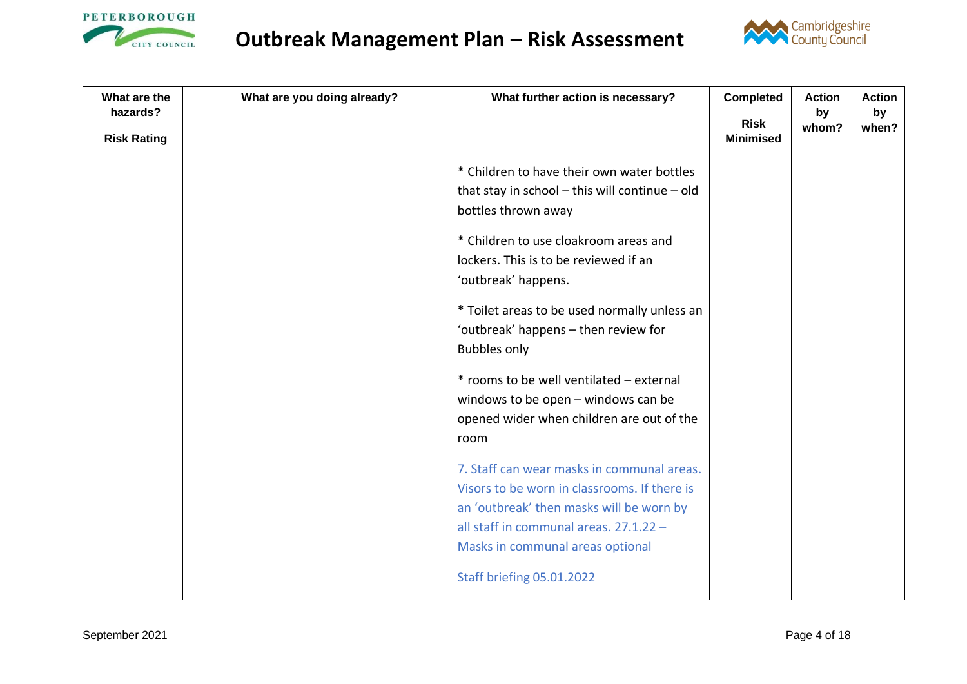



| What are the<br>hazards?<br><b>Risk Rating</b> | What are you doing already? | What further action is necessary?                                                                                                                                                                                                                                                                                                                                                                                                                                                                                                                                                                                                                                                                                                            | <b>Completed</b><br><b>Risk</b><br><b>Minimised</b> | <b>Action</b><br>by<br>whom? | <b>Action</b><br>by<br>when? |
|------------------------------------------------|-----------------------------|----------------------------------------------------------------------------------------------------------------------------------------------------------------------------------------------------------------------------------------------------------------------------------------------------------------------------------------------------------------------------------------------------------------------------------------------------------------------------------------------------------------------------------------------------------------------------------------------------------------------------------------------------------------------------------------------------------------------------------------------|-----------------------------------------------------|------------------------------|------------------------------|
|                                                |                             | * Children to have their own water bottles<br>that stay in school $-$ this will continue $-$ old<br>bottles thrown away<br>* Children to use cloakroom areas and<br>lockers. This is to be reviewed if an<br>'outbreak' happens.<br>* Toilet areas to be used normally unless an<br>'outbreak' happens - then review for<br><b>Bubbles only</b><br>* rooms to be well ventilated - external<br>windows to be open - windows can be<br>opened wider when children are out of the<br>room<br>7. Staff can wear masks in communal areas.<br>Visors to be worn in classrooms. If there is<br>an 'outbreak' then masks will be worn by<br>all staff in communal areas. 27.1.22 -<br>Masks in communal areas optional<br>Staff briefing 05.01.2022 |                                                     |                              |                              |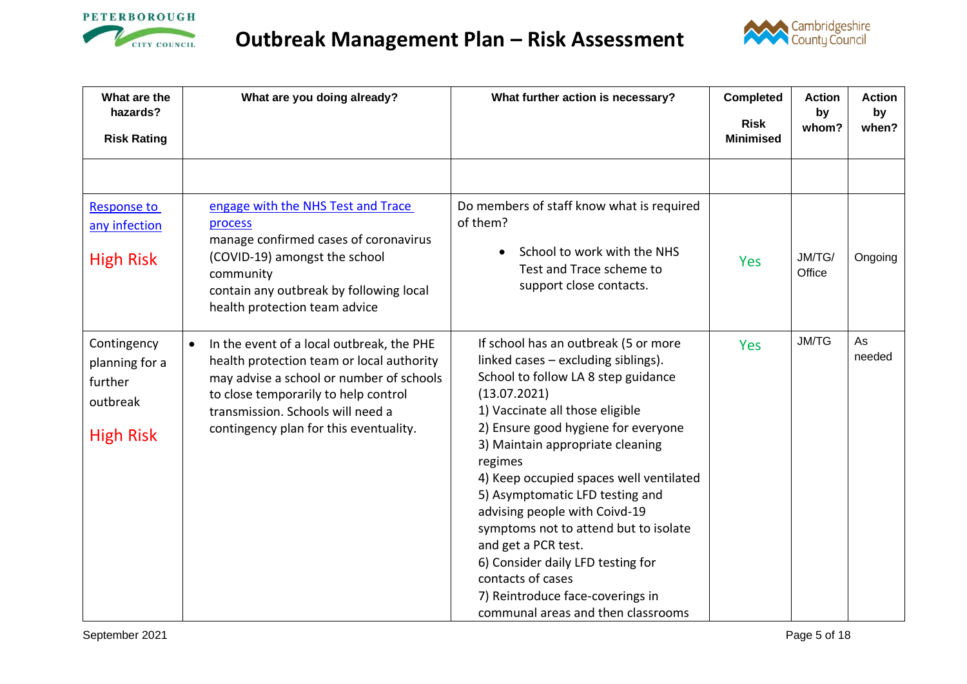



| What are the<br>hazards?                                                 | What are you doing already?                                                                                                                                                                                                                                            | What further action is necessary?                                                                                                                                                                                                                                                                                                                                                                                                                                                                                                                                              | <b>Completed</b><br><b>Risk</b> | <b>Action</b><br>by<br>whom? | <b>Action</b><br>by<br>when? |
|--------------------------------------------------------------------------|------------------------------------------------------------------------------------------------------------------------------------------------------------------------------------------------------------------------------------------------------------------------|--------------------------------------------------------------------------------------------------------------------------------------------------------------------------------------------------------------------------------------------------------------------------------------------------------------------------------------------------------------------------------------------------------------------------------------------------------------------------------------------------------------------------------------------------------------------------------|---------------------------------|------------------------------|------------------------------|
| <b>Risk Rating</b>                                                       |                                                                                                                                                                                                                                                                        |                                                                                                                                                                                                                                                                                                                                                                                                                                                                                                                                                                                | <b>Minimised</b>                |                              |                              |
|                                                                          |                                                                                                                                                                                                                                                                        |                                                                                                                                                                                                                                                                                                                                                                                                                                                                                                                                                                                |                                 |                              |                              |
| <b>Response to</b><br>any infection<br><b>High Risk</b>                  | engage with the NHS Test and Trace<br>process<br>manage confirmed cases of coronavirus<br>(COVID-19) amongst the school<br>community<br>contain any outbreak by following local<br>health protection team advice                                                       | Do members of staff know what is required<br>of them?<br>School to work with the NHS<br>Test and Trace scheme to<br>support close contacts.                                                                                                                                                                                                                                                                                                                                                                                                                                    | <b>Yes</b>                      | JM/TG/<br>Office             | Ongoing                      |
| Contingency<br>planning for a<br>further<br>outbreak<br><b>High Risk</b> | In the event of a local outbreak, the PHE<br>$\bullet$<br>health protection team or local authority<br>may advise a school or number of schools<br>to close temporarily to help control<br>transmission. Schools will need a<br>contingency plan for this eventuality. | If school has an outbreak (5 or more<br>linked cases - excluding siblings).<br>School to follow LA 8 step guidance<br>(13.07.2021)<br>1) Vaccinate all those eligible<br>2) Ensure good hygiene for everyone<br>3) Maintain appropriate cleaning<br>regimes<br>4) Keep occupied spaces well ventilated<br>5) Asymptomatic LFD testing and<br>advising people with Coivd-19<br>symptoms not to attend but to isolate<br>and get a PCR test.<br>6) Consider daily LFD testing for<br>contacts of cases<br>7) Reintroduce face-coverings in<br>communal areas and then classrooms | <b>Yes</b>                      | <b>JM/TG</b>                 | As<br>needed                 |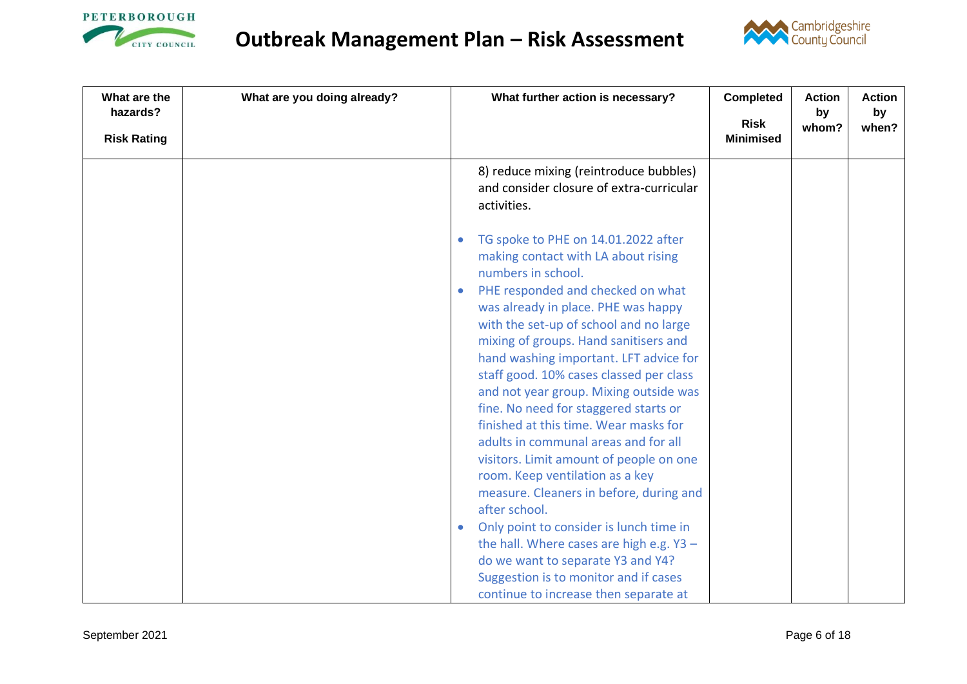



| What are the<br>What are you doing already?<br>hazards? | What further action is necessary?                                                                                                                                                                                                                                                                                                                                                                                                                                                                                                                                                                                                                                                                                                                                                                                                                                                | <b>Completed</b>                | <b>Action</b><br>by | <b>Action</b><br>by |
|---------------------------------------------------------|----------------------------------------------------------------------------------------------------------------------------------------------------------------------------------------------------------------------------------------------------------------------------------------------------------------------------------------------------------------------------------------------------------------------------------------------------------------------------------------------------------------------------------------------------------------------------------------------------------------------------------------------------------------------------------------------------------------------------------------------------------------------------------------------------------------------------------------------------------------------------------|---------------------------------|---------------------|---------------------|
| <b>Risk Rating</b>                                      |                                                                                                                                                                                                                                                                                                                                                                                                                                                                                                                                                                                                                                                                                                                                                                                                                                                                                  | <b>Risk</b><br><b>Minimised</b> | whom?               | when?               |
|                                                         | 8) reduce mixing (reintroduce bubbles)<br>and consider closure of extra-curricular<br>activities.                                                                                                                                                                                                                                                                                                                                                                                                                                                                                                                                                                                                                                                                                                                                                                                |                                 |                     |                     |
| $\bullet$<br>$\bullet$                                  | TG spoke to PHE on 14.01.2022 after<br>making contact with LA about rising<br>numbers in school.<br>PHE responded and checked on what<br>was already in place. PHE was happy<br>with the set-up of school and no large<br>mixing of groups. Hand sanitisers and<br>hand washing important. LFT advice for<br>staff good. 10% cases classed per class<br>and not year group. Mixing outside was<br>fine. No need for staggered starts or<br>finished at this time. Wear masks for<br>adults in communal areas and for all<br>visitors. Limit amount of people on one<br>room. Keep ventilation as a key<br>measure. Cleaners in before, during and<br>after school.<br>Only point to consider is lunch time in<br>the hall. Where cases are high e.g. Y3 -<br>do we want to separate Y3 and Y4?<br>Suggestion is to monitor and if cases<br>continue to increase then separate at |                                 |                     |                     |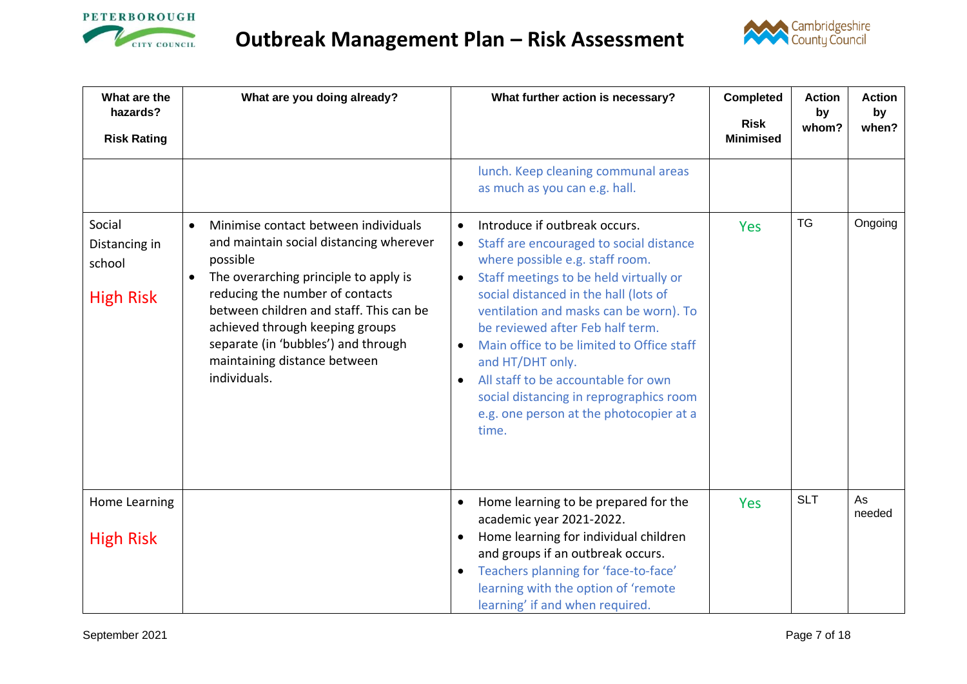



<span id="page-6-0"></span>

| What are the<br>hazards?                              | What are you doing already?                                                                                                                                                                                                                                                                                                                               | What further action is necessary?                                                                                                                                                                                                                                                                                                                                                                                                                                                                                                                    | <b>Completed</b><br><b>Risk</b> | <b>Action</b><br>by<br>whom? | <b>Action</b><br>by<br>when? |
|-------------------------------------------------------|-----------------------------------------------------------------------------------------------------------------------------------------------------------------------------------------------------------------------------------------------------------------------------------------------------------------------------------------------------------|------------------------------------------------------------------------------------------------------------------------------------------------------------------------------------------------------------------------------------------------------------------------------------------------------------------------------------------------------------------------------------------------------------------------------------------------------------------------------------------------------------------------------------------------------|---------------------------------|------------------------------|------------------------------|
| <b>Risk Rating</b>                                    |                                                                                                                                                                                                                                                                                                                                                           |                                                                                                                                                                                                                                                                                                                                                                                                                                                                                                                                                      | <b>Minimised</b>                |                              |                              |
|                                                       |                                                                                                                                                                                                                                                                                                                                                           | lunch. Keep cleaning communal areas<br>as much as you can e.g. hall.                                                                                                                                                                                                                                                                                                                                                                                                                                                                                 |                                 |                              |                              |
| Social<br>Distancing in<br>school<br><b>High Risk</b> | Minimise contact between individuals<br>$\bullet$<br>and maintain social distancing wherever<br>possible<br>The overarching principle to apply is<br>reducing the number of contacts<br>between children and staff. This can be<br>achieved through keeping groups<br>separate (in 'bubbles') and through<br>maintaining distance between<br>individuals. | Introduce if outbreak occurs.<br>$\bullet$<br>Staff are encouraged to social distance<br>$\bullet$<br>where possible e.g. staff room.<br>Staff meetings to be held virtually or<br>$\bullet$<br>social distanced in the hall (lots of<br>ventilation and masks can be worn). To<br>be reviewed after Feb half term.<br>Main office to be limited to Office staff<br>$\bullet$<br>and HT/DHT only.<br>All staff to be accountable for own<br>$\bullet$<br>social distancing in reprographics room<br>e.g. one person at the photocopier at a<br>time. | Yes                             | <b>TG</b>                    | Ongoing                      |
| Home Learning                                         |                                                                                                                                                                                                                                                                                                                                                           | Home learning to be prepared for the<br>$\bullet$<br>academic year 2021-2022.                                                                                                                                                                                                                                                                                                                                                                                                                                                                        | <b>Yes</b>                      | <b>SLT</b>                   | As<br>needed                 |
| <b>High Risk</b>                                      |                                                                                                                                                                                                                                                                                                                                                           | Home learning for individual children<br>$\bullet$<br>and groups if an outbreak occurs.<br>Teachers planning for 'face-to-face'<br>$\bullet$<br>learning with the option of 'remote<br>learning' if and when required.                                                                                                                                                                                                                                                                                                                               |                                 |                              |                              |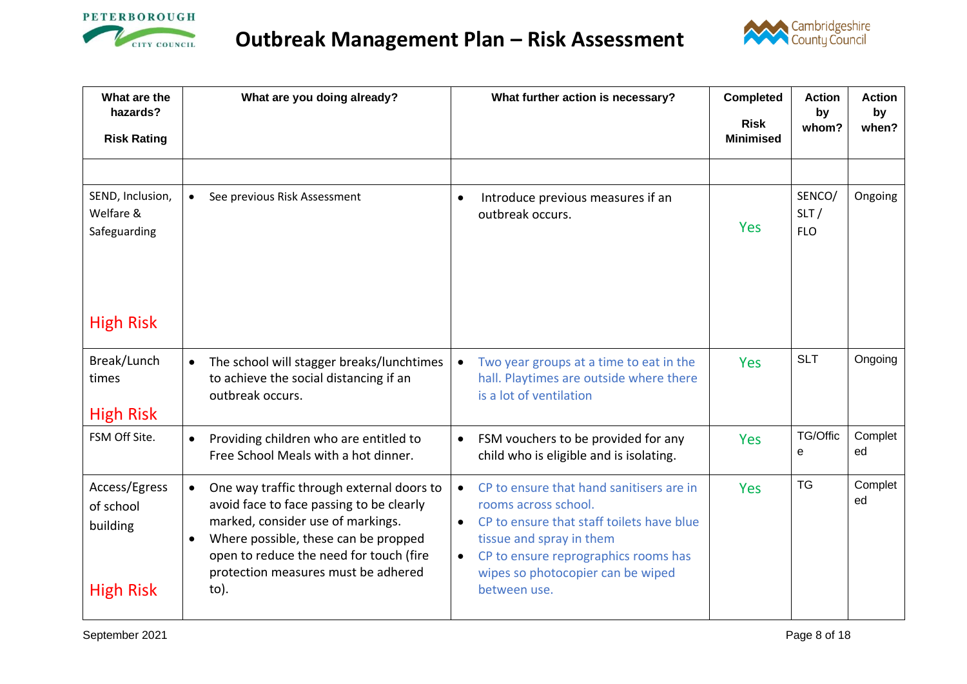



| What are the<br>hazards?                                   | What are you doing already?                                                                                                                                                                                                                                                  | What further action is necessary?                                                                                                                                                                                                                                             | <b>Completed</b><br><b>Risk</b> | <b>Action</b><br>by<br>whom? | <b>Action</b><br>by<br>when? |
|------------------------------------------------------------|------------------------------------------------------------------------------------------------------------------------------------------------------------------------------------------------------------------------------------------------------------------------------|-------------------------------------------------------------------------------------------------------------------------------------------------------------------------------------------------------------------------------------------------------------------------------|---------------------------------|------------------------------|------------------------------|
| <b>Risk Rating</b>                                         |                                                                                                                                                                                                                                                                              |                                                                                                                                                                                                                                                                               | <b>Minimised</b>                |                              |                              |
|                                                            |                                                                                                                                                                                                                                                                              |                                                                                                                                                                                                                                                                               |                                 |                              |                              |
| SEND, Inclusion,<br>Welfare &<br>Safeguarding              | See previous Risk Assessment                                                                                                                                                                                                                                                 | Introduce previous measures if an<br>$\bullet$<br>outbreak occurs.                                                                                                                                                                                                            | <b>Yes</b>                      | SENCO/<br>SLT/<br><b>FLO</b> | Ongoing                      |
| <b>High Risk</b>                                           |                                                                                                                                                                                                                                                                              |                                                                                                                                                                                                                                                                               |                                 |                              |                              |
| Break/Lunch<br>times<br><b>High Risk</b>                   | The school will stagger breaks/lunchtimes<br>to achieve the social distancing if an<br>outbreak occurs.                                                                                                                                                                      | Two year groups at a time to eat in the<br>$\bullet$<br>hall. Playtimes are outside where there<br>is a lot of ventilation                                                                                                                                                    | <b>Yes</b>                      | <b>SLT</b>                   | Ongoing                      |
| FSM Off Site.                                              | Providing children who are entitled to<br>Free School Meals with a hot dinner.                                                                                                                                                                                               | FSM vouchers to be provided for any<br>$\bullet$<br>child who is eligible and is isolating.                                                                                                                                                                                   | <b>Yes</b>                      | TG/Offic<br>e                | Complet<br>ed                |
| Access/Egress<br>of school<br>building<br><b>High Risk</b> | One way traffic through external doors to<br>$\bullet$<br>avoid face to face passing to be clearly<br>marked, consider use of markings.<br>Where possible, these can be propped<br>open to reduce the need for touch (fire<br>protection measures must be adhered<br>$to)$ . | CP to ensure that hand sanitisers are in<br>$\bullet$<br>rooms across school.<br>CP to ensure that staff toilets have blue<br>$\bullet$<br>tissue and spray in them<br>CP to ensure reprographics rooms has<br>$\bullet$<br>wipes so photocopier can be wiped<br>between use. | <b>Yes</b>                      | <b>TG</b>                    | Complet<br>ed                |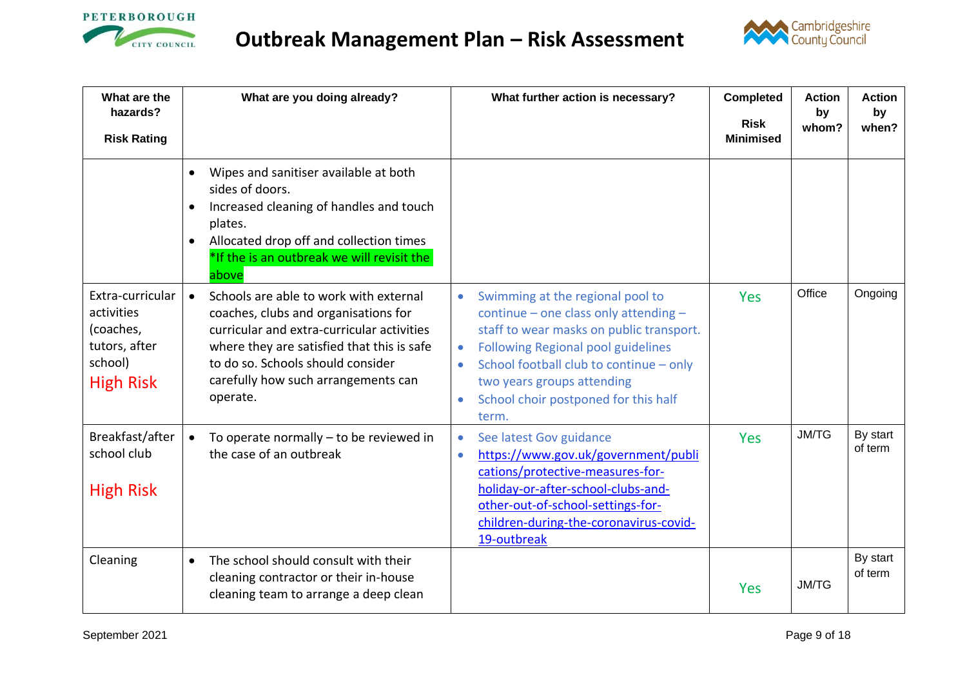



<span id="page-8-0"></span>

| What are the<br>hazards?                                                                    | What are you doing already?                                                                                                                                                                                                                                                     | What further action is necessary?                                                                                                                                                                                                                                                                                                                | <b>Completed</b>                | <b>Action</b><br>by | <b>Action</b><br>by |
|---------------------------------------------------------------------------------------------|---------------------------------------------------------------------------------------------------------------------------------------------------------------------------------------------------------------------------------------------------------------------------------|--------------------------------------------------------------------------------------------------------------------------------------------------------------------------------------------------------------------------------------------------------------------------------------------------------------------------------------------------|---------------------------------|---------------------|---------------------|
| <b>Risk Rating</b>                                                                          |                                                                                                                                                                                                                                                                                 |                                                                                                                                                                                                                                                                                                                                                  | <b>Risk</b><br><b>Minimised</b> | whom?               | when?               |
|                                                                                             | Wipes and sanitiser available at both<br>sides of doors.<br>Increased cleaning of handles and touch<br>$\bullet$<br>plates.<br>Allocated drop off and collection times<br>$\bullet$<br>*If the is an outbreak we will revisit the<br>above                                      |                                                                                                                                                                                                                                                                                                                                                  |                                 |                     |                     |
| Extra-curricular<br>activities<br>(coaches,<br>tutors, after<br>school)<br><b>High Risk</b> | Schools are able to work with external<br>$\bullet$<br>coaches, clubs and organisations for<br>curricular and extra-curricular activities<br>where they are satisfied that this is safe<br>to do so. Schools should consider<br>carefully how such arrangements can<br>operate. | Swimming at the regional pool to<br>$\bullet$<br>continue - one class only attending -<br>staff to wear masks on public transport.<br><b>Following Regional pool guidelines</b><br>$\bullet$<br>School football club to continue - only<br>$\bullet$<br>two years groups attending<br>School choir postponed for this half<br>$\bullet$<br>term. | <b>Yes</b>                      | Office              | Ongoing             |
| Breakfast/after<br>school club<br><b>High Risk</b>                                          | To operate normally $-$ to be reviewed in<br>$\bullet$<br>the case of an outbreak                                                                                                                                                                                               | See latest Gov guidance<br>$\bullet$<br>https://www.gov.uk/government/publi<br>$\bullet$<br>cations/protective-measures-for-<br>holiday-or-after-school-clubs-and-<br>other-out-of-school-settings-for-<br>children-during-the-coronavirus-covid-<br>19-outbreak                                                                                 | Yes                             | <b>JM/TG</b>        | By start<br>of term |
| Cleaning                                                                                    | The school should consult with their<br>$\bullet$<br>cleaning contractor or their in-house<br>cleaning team to arrange a deep clean                                                                                                                                             |                                                                                                                                                                                                                                                                                                                                                  | <b>Yes</b>                      | <b>JM/TG</b>        | By start<br>of term |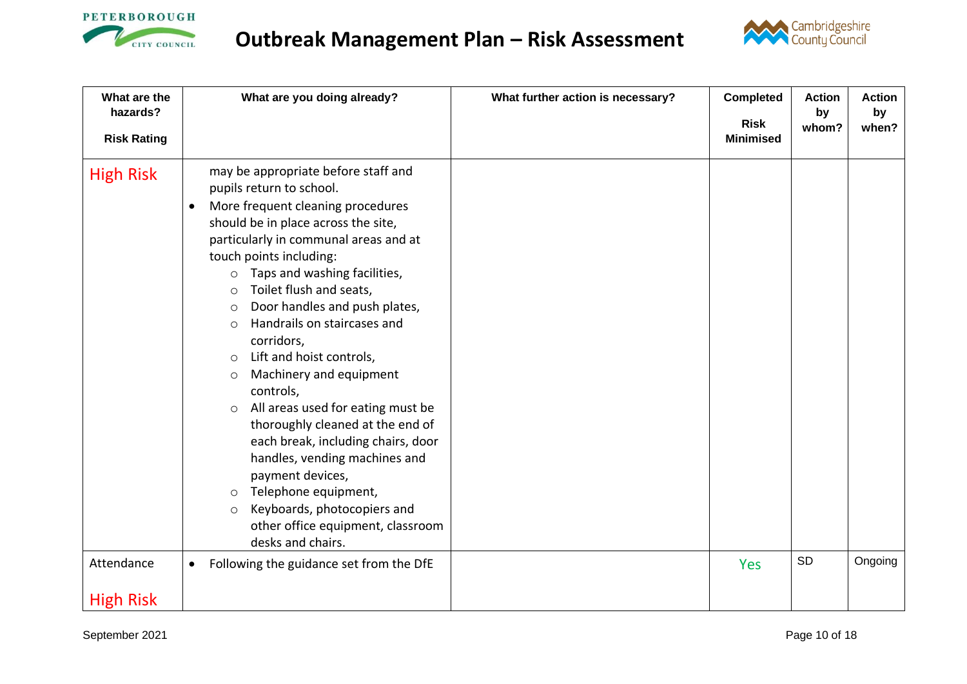



| What are the<br>hazards?       | What are you doing already?                                                                                                                                                                                                                                                                                                                                                                                                                                                                                                                                                                                                                                                                                                                                                                                                          | What further action is necessary? | <b>Completed</b>                | <b>Action</b><br>by | <b>Action</b><br>by |
|--------------------------------|--------------------------------------------------------------------------------------------------------------------------------------------------------------------------------------------------------------------------------------------------------------------------------------------------------------------------------------------------------------------------------------------------------------------------------------------------------------------------------------------------------------------------------------------------------------------------------------------------------------------------------------------------------------------------------------------------------------------------------------------------------------------------------------------------------------------------------------|-----------------------------------|---------------------------------|---------------------|---------------------|
| <b>Risk Rating</b>             |                                                                                                                                                                                                                                                                                                                                                                                                                                                                                                                                                                                                                                                                                                                                                                                                                                      |                                   | <b>Risk</b><br><b>Minimised</b> | whom?               | when?               |
| <b>High Risk</b>               | may be appropriate before staff and<br>pupils return to school.<br>More frequent cleaning procedures<br>$\bullet$<br>should be in place across the site,<br>particularly in communal areas and at<br>touch points including:<br>Taps and washing facilities,<br>$\circ$<br>Toilet flush and seats,<br>$\circ$<br>Door handles and push plates,<br>$\circ$<br>Handrails on staircases and<br>$\bigcirc$<br>corridors,<br>Lift and hoist controls,<br>$\circ$<br>Machinery and equipment<br>$\circ$<br>controls,<br>All areas used for eating must be<br>$\circ$<br>thoroughly cleaned at the end of<br>each break, including chairs, door<br>handles, vending machines and<br>payment devices,<br>Telephone equipment,<br>$\circ$<br>Keyboards, photocopiers and<br>$\circ$<br>other office equipment, classroom<br>desks and chairs. |                                   |                                 |                     |                     |
| Attendance<br><b>High Risk</b> | Following the guidance set from the DfE<br>$\bullet$                                                                                                                                                                                                                                                                                                                                                                                                                                                                                                                                                                                                                                                                                                                                                                                 |                                   | <b>Yes</b>                      | SD                  | Ongoing             |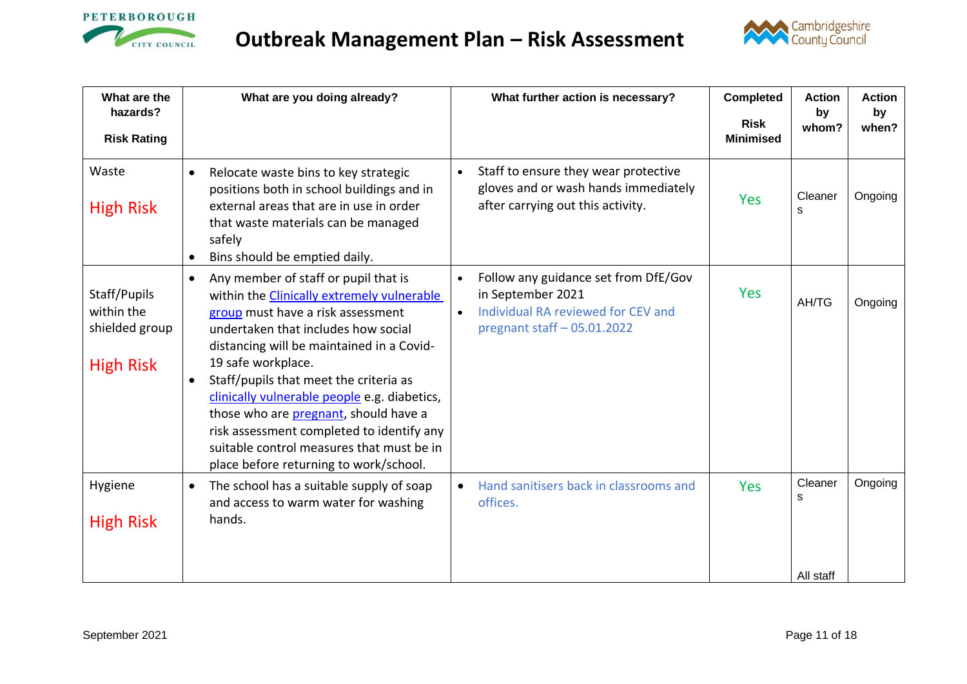



<span id="page-10-0"></span>

| What are the<br>hazards?<br><b>Risk Rating</b>                   | What are you doing already?                                                                                                                                                                                                                                                                                                                                                                                                                                                                                                        | What further action is necessary?                                                                                                                         | <b>Completed</b><br><b>Risk</b><br><b>Minimised</b> | <b>Action</b><br>by<br>whom? | <b>Action</b><br>by<br>when? |
|------------------------------------------------------------------|------------------------------------------------------------------------------------------------------------------------------------------------------------------------------------------------------------------------------------------------------------------------------------------------------------------------------------------------------------------------------------------------------------------------------------------------------------------------------------------------------------------------------------|-----------------------------------------------------------------------------------------------------------------------------------------------------------|-----------------------------------------------------|------------------------------|------------------------------|
| Waste<br><b>High Risk</b>                                        | Relocate waste bins to key strategic<br>$\bullet$<br>positions both in school buildings and in<br>external areas that are in use in order<br>that waste materials can be managed<br>safely<br>Bins should be emptied daily.                                                                                                                                                                                                                                                                                                        | Staff to ensure they wear protective<br>$\bullet$<br>gloves and or wash hands immediately<br>after carrying out this activity.                            | <b>Yes</b>                                          | Cleaner<br>S                 | Ongoing                      |
| Staff/Pupils<br>within the<br>shielded group<br><b>High Risk</b> | Any member of staff or pupil that is<br>$\bullet$<br>within the Clinically extremely vulnerable<br>group must have a risk assessment<br>undertaken that includes how social<br>distancing will be maintained in a Covid-<br>19 safe workplace.<br>Staff/pupils that meet the criteria as<br>$\bullet$<br>clinically vulnerable people e.g. diabetics,<br>those who are pregnant, should have a<br>risk assessment completed to identify any<br>suitable control measures that must be in<br>place before returning to work/school. | Follow any guidance set from DfE/Gov<br>$\bullet$<br>in September 2021<br>Individual RA reviewed for CEV and<br>$\bullet$<br>pregnant staff $-05.01.2022$ | <b>Yes</b>                                          | AH/TG                        | Ongoing                      |
| Hygiene<br><b>High Risk</b>                                      | The school has a suitable supply of soap<br>$\bullet$<br>and access to warm water for washing<br>hands.                                                                                                                                                                                                                                                                                                                                                                                                                            | Hand sanitisers back in classrooms and<br>$\bullet$<br>offices.                                                                                           | <b>Yes</b>                                          | Cleaner<br>S<br>All staff    | Ongoing                      |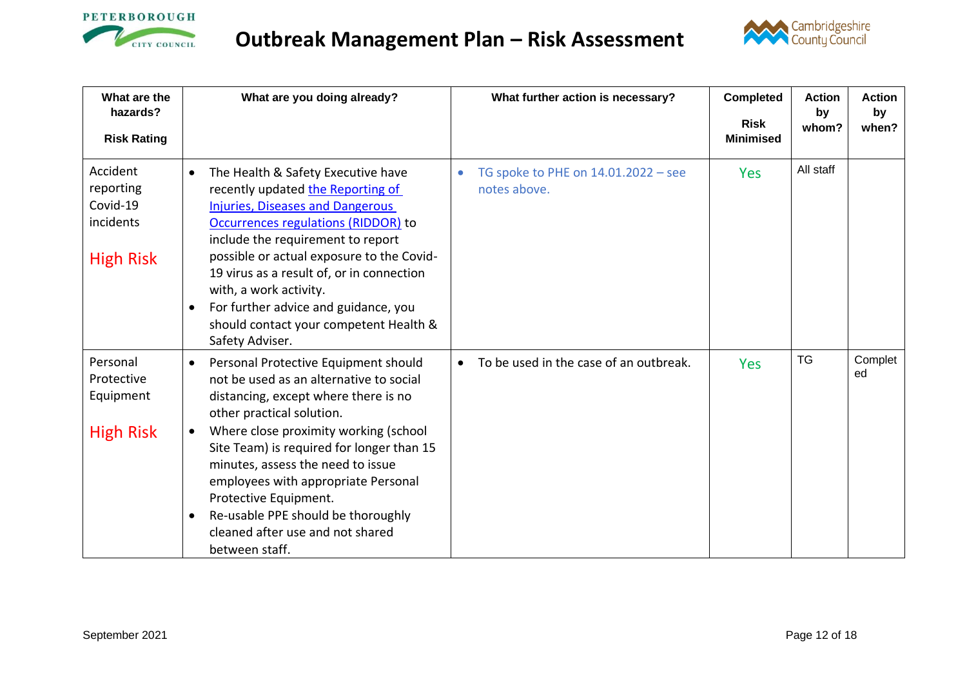



<span id="page-11-0"></span>

| What are the<br>hazards?<br><b>Risk Rating</b>                     | What are you doing already?                                                                                                                                                                                                                                                                                                                                                                                                                              | What further action is necessary?                   | <b>Completed</b><br><b>Risk</b><br><b>Minimised</b> | <b>Action</b><br>by<br>whom? | <b>Action</b><br>by<br>when? |
|--------------------------------------------------------------------|----------------------------------------------------------------------------------------------------------------------------------------------------------------------------------------------------------------------------------------------------------------------------------------------------------------------------------------------------------------------------------------------------------------------------------------------------------|-----------------------------------------------------|-----------------------------------------------------|------------------------------|------------------------------|
| Accident<br>reporting<br>Covid-19<br>incidents<br><b>High Risk</b> | The Health & Safety Executive have<br>$\bullet$<br>recently updated the Reporting of<br><b>Injuries, Diseases and Dangerous</b><br>Occurrences regulations (RIDDOR) to<br>include the requirement to report<br>possible or actual exposure to the Covid-<br>19 virus as a result of, or in connection<br>with, a work activity.<br>For further advice and guidance, you<br>$\bullet$<br>should contact your competent Health &<br>Safety Adviser.        | TG spoke to PHE on 14.01.2022 - see<br>notes above. | <b>Yes</b>                                          | All staff                    |                              |
| Personal<br>Protective<br>Equipment<br><b>High Risk</b>            | Personal Protective Equipment should<br>not be used as an alternative to social<br>distancing, except where there is no<br>other practical solution.<br>Where close proximity working (school<br>$\bullet$<br>Site Team) is required for longer than 15<br>minutes, assess the need to issue<br>employees with appropriate Personal<br>Protective Equipment.<br>Re-usable PPE should be thoroughly<br>cleaned after use and not shared<br>between staff. | To be used in the case of an outbreak.              | <b>Yes</b>                                          | <b>TG</b>                    | Complet<br>ed                |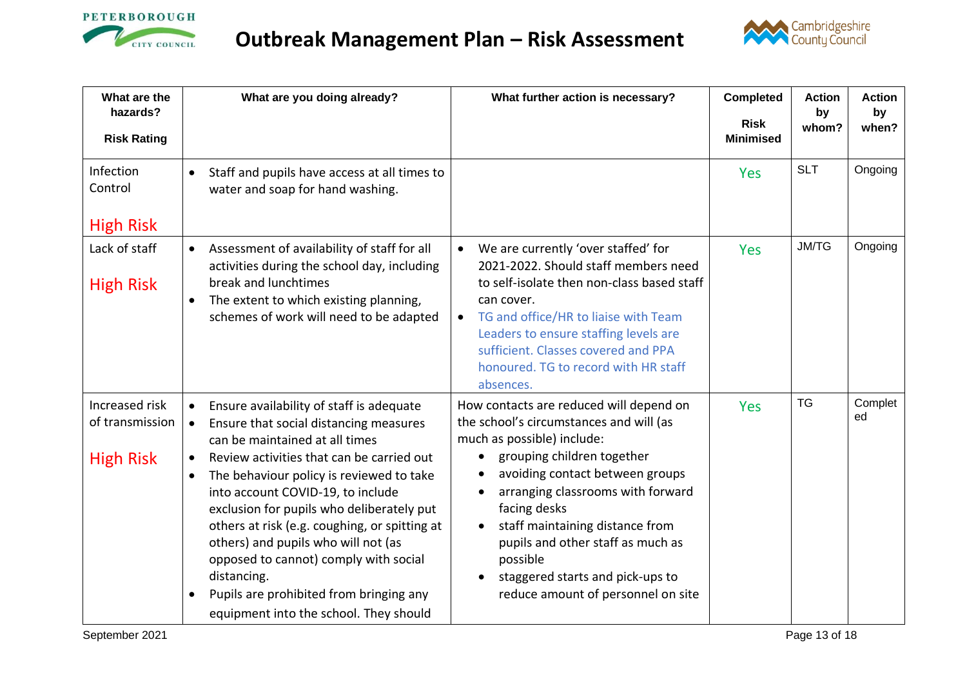



| What are the<br>hazards?                              | What are you doing already?                                                                                                                                                                                                                                                                                                                                                                                                                                                                                                                                                                           | What further action is necessary?                                                                                                                                                                                                                                                                                                                                                                                              | <b>Completed</b>                | <b>Action</b><br>by | <b>Action</b><br>by |
|-------------------------------------------------------|-------------------------------------------------------------------------------------------------------------------------------------------------------------------------------------------------------------------------------------------------------------------------------------------------------------------------------------------------------------------------------------------------------------------------------------------------------------------------------------------------------------------------------------------------------------------------------------------------------|--------------------------------------------------------------------------------------------------------------------------------------------------------------------------------------------------------------------------------------------------------------------------------------------------------------------------------------------------------------------------------------------------------------------------------|---------------------------------|---------------------|---------------------|
| <b>Risk Rating</b>                                    |                                                                                                                                                                                                                                                                                                                                                                                                                                                                                                                                                                                                       |                                                                                                                                                                                                                                                                                                                                                                                                                                | <b>Risk</b><br><b>Minimised</b> | whom?               | when?               |
| Infection<br>Control<br><b>High Risk</b>              | Staff and pupils have access at all times to<br>$\bullet$<br>water and soap for hand washing.                                                                                                                                                                                                                                                                                                                                                                                                                                                                                                         |                                                                                                                                                                                                                                                                                                                                                                                                                                | <b>Yes</b>                      | <b>SLT</b>          | Ongoing             |
| Lack of staff<br><b>High Risk</b>                     | Assessment of availability of staff for all<br>$\bullet$<br>activities during the school day, including<br>break and lunchtimes<br>The extent to which existing planning,<br>schemes of work will need to be adapted                                                                                                                                                                                                                                                                                                                                                                                  | We are currently 'over staffed' for<br>2021-2022. Should staff members need<br>to self-isolate then non-class based staff<br>can cover.<br>TG and office/HR to liaise with Team<br>$\bullet$<br>Leaders to ensure staffing levels are<br>sufficient. Classes covered and PPA<br>honoured. TG to record with HR staff<br>absences.                                                                                              | Yes                             | <b>JM/TG</b>        | Ongoing             |
| Increased risk<br>of transmission<br><b>High Risk</b> | Ensure availability of staff is adequate<br>$\bullet$<br>Ensure that social distancing measures<br>$\bullet$<br>can be maintained at all times<br>Review activities that can be carried out<br>$\bullet$<br>The behaviour policy is reviewed to take<br>$\bullet$<br>into account COVID-19, to include<br>exclusion for pupils who deliberately put<br>others at risk (e.g. coughing, or spitting at<br>others) and pupils who will not (as<br>opposed to cannot) comply with social<br>distancing.<br>Pupils are prohibited from bringing any<br>$\bullet$<br>equipment into the school. They should | How contacts are reduced will depend on<br>the school's circumstances and will (as<br>much as possible) include:<br>grouping children together<br>$\bullet$<br>avoiding contact between groups<br>arranging classrooms with forward<br>facing desks<br>staff maintaining distance from<br>$\bullet$<br>pupils and other staff as much as<br>possible<br>staggered starts and pick-ups to<br>reduce amount of personnel on site | <b>Yes</b>                      | <b>TG</b>           | Complet<br>ed       |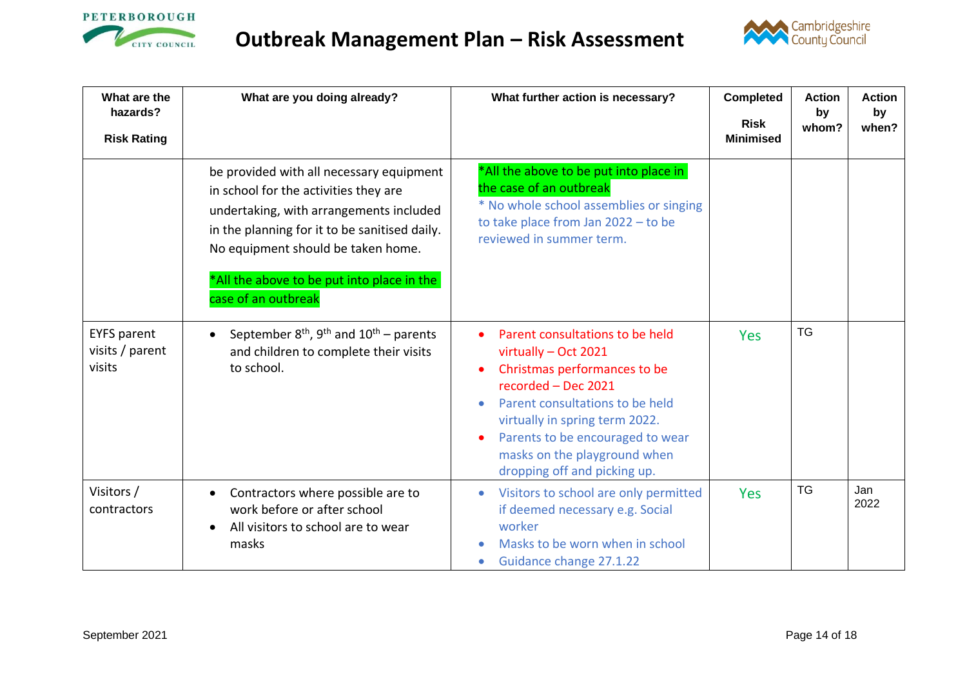



| What are the<br>hazards?<br><b>Risk Rating</b>  | What are you doing already?                                                                                                                                                                                                                                                              | What further action is necessary?                                                                                                                                                                                                                                                                    | <b>Completed</b><br><b>Risk</b><br><b>Minimised</b> | <b>Action</b><br>by<br>whom? | <b>Action</b><br>by<br>when? |
|-------------------------------------------------|------------------------------------------------------------------------------------------------------------------------------------------------------------------------------------------------------------------------------------------------------------------------------------------|------------------------------------------------------------------------------------------------------------------------------------------------------------------------------------------------------------------------------------------------------------------------------------------------------|-----------------------------------------------------|------------------------------|------------------------------|
|                                                 | be provided with all necessary equipment<br>in school for the activities they are<br>undertaking, with arrangements included<br>in the planning for it to be sanitised daily.<br>No equipment should be taken home.<br>*All the above to be put into place in the<br>case of an outbreak | *All the above to be put into place in<br>the case of an outbreak<br>* No whole school assemblies or singing<br>to take place from Jan 2022 - to be<br>reviewed in summer term.                                                                                                                      |                                                     |                              |                              |
| <b>EYFS parent</b><br>visits / parent<br>visits | September $8th$ , $9th$ and $10th$ – parents<br>and children to complete their visits<br>to school.                                                                                                                                                                                      | Parent consultations to be held<br>$\bullet$<br>virtually - Oct 2021<br>Christmas performances to be<br>recorded - Dec 2021<br>Parent consultations to be held<br>virtually in spring term 2022.<br>Parents to be encouraged to wear<br>masks on the playground when<br>dropping off and picking up. | <b>Yes</b>                                          | <b>TG</b>                    |                              |
| Visitors /<br>contractors                       | Contractors where possible are to<br>work before or after school<br>All visitors to school are to wear<br>masks                                                                                                                                                                          | Visitors to school are only permitted<br>$\bullet$<br>if deemed necessary e.g. Social<br>worker<br>Masks to be worn when in school<br>Guidance change 27.1.22                                                                                                                                        | <b>Yes</b>                                          | <b>TG</b>                    | Jan<br>2022                  |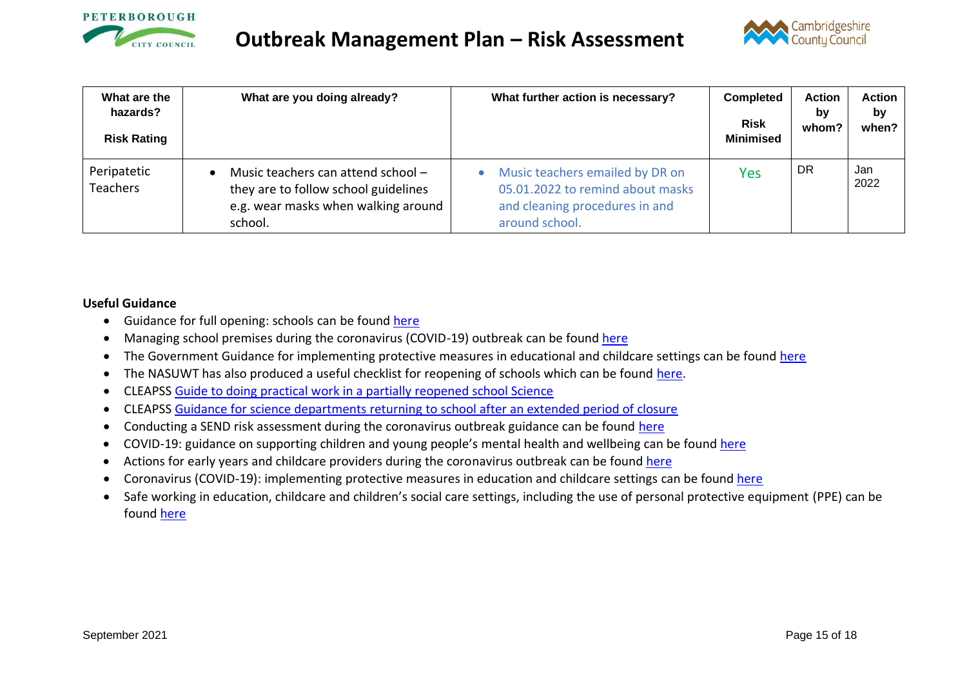



| What are the<br>hazards?<br><b>Risk Rating</b> | What are you doing already?                                                                                                  | What further action is necessary?                                                                                                    | <b>Completed</b><br><b>Risk</b><br><b>Minimised</b> | <b>Action</b><br>bv<br>whom? | <b>Action</b><br>bv<br>when? |
|------------------------------------------------|------------------------------------------------------------------------------------------------------------------------------|--------------------------------------------------------------------------------------------------------------------------------------|-----------------------------------------------------|------------------------------|------------------------------|
| Peripatetic<br><b>Teachers</b>                 | Music teachers can attend school -<br>they are to follow school guidelines<br>e.g. wear masks when walking around<br>school. | Music teachers emailed by DR on<br>$\bullet$<br>05.01.2022 to remind about masks<br>and cleaning procedures in and<br>around school. | Yes                                                 | DR.                          | Jan<br>2022                  |

### **Useful Guidance**

- Guidance for full opening: schools can be found [here](https://www.gov.uk/government/publications/actions-for-schools-during-the-coronavirus-outbreak/guidance-for-full-opening-schools#A)
- Managing school premises during the coronavirus (COVID-19) outbreak can be found [here](https://www.gov.uk/government/publications/managing-school-premises-during-the-coronavirus-outbreak/managing-school-premises-which-are-partially-open-during-the-coronavirus-outbreak#fire-safety)
- The Government Guidance for implementing protective measures in educational and childcare settings can be found [here](https://www.gov.uk/government/publications/coronavirus-covid-19-implementing-protective-measures-in-education-and-childcare-settings/coronavirus-covid-19-implementing-protective-measures-in-education-and-childcare-settings#class-or-group-sizes)
- The NASUWT has also produced a useful checklist for reopening of schools which can be found [here.](https://www.nasuwt.org.uk/uploads/assets/uploaded/d8b46e47-fa23-466c-af6e4d55e3022efd.pdf)
- CLEAPSS [Guide to doing practical work in a partially reopened school Science](https://public.huddle.com/a/lrVPERK/index.html)
- CLEAPSS [Guidance for science departments returning to school after an extended period of closure](https://public.huddle.com/a/VdRjYeV/index.html)
- Conducting a SEND risk assessment during the coronavirus outbreak guidance can be found [here](https://www.gov.uk/government/publications/coronavirus-covid-19-send-risk-assessment-guidance)
- COVID-19: guidance on supporting children and young people's mental health and wellbeing can be found [here](https://www.gov.uk/government/publications/covid-19-guidance-on-supporting-children-and-young-peoples-mental-health-and-wellbeing)
- Actions for early years and childcare providers during the coronavirus outbreak can be found [here](https://www.gov.uk/government/publications/coronavirus-covid-19-early-years-and-childcare-closures/coronavirus-covid-19-early-years-and-childcare-closures)
- Coronavirus (COVID-19): implementing protective measures in education and childcare settings can be found [here](https://www.gov.uk/government/publications/coronavirus-covid-19-implementing-protective-measures-in-education-and-childcare-settings/coronavirus-covid-19-implementing-protective-measures-in-education-and-childcare-settings)
- Safe working in education, childcare and children's social care settings, including the use of personal protective equipment (PPE) can be found [here](https://www.gov.uk/government/publications/safe-working-in-education-childcare-and-childrens-social-care/safe-working-in-education-childcare-and-childrens-social-care-settings-including-the-use-of-personal-protective-equipment-ppe)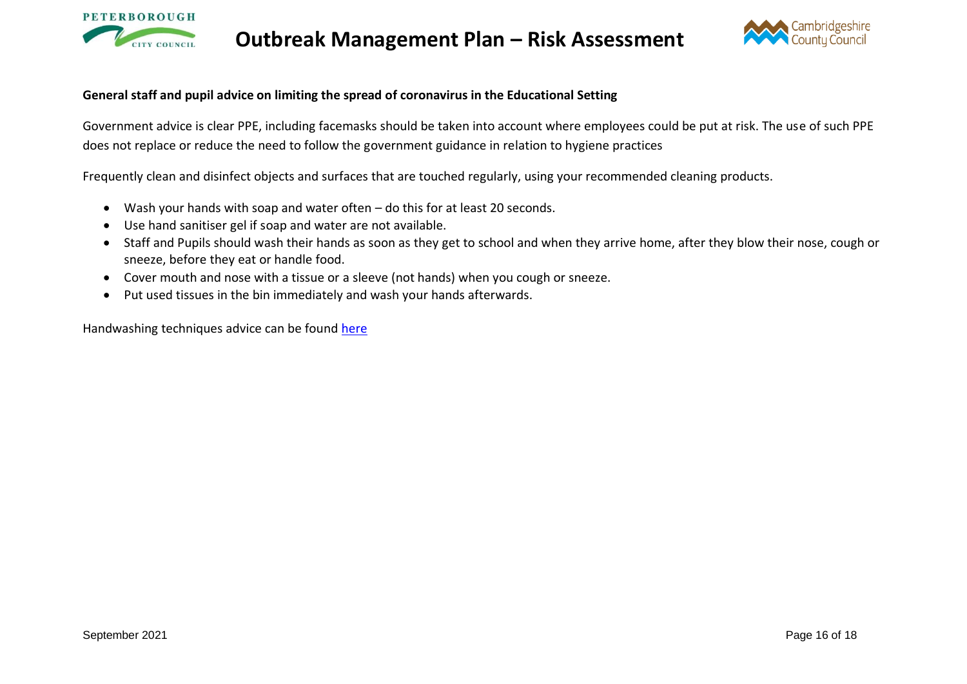



### **General staff and pupil advice on limiting the spread of coronavirus in the Educational Setting**

Government advice is clear PPE, including facemasks should be taken into account where employees could be put at risk. The use of such PPE does not replace or reduce the need to follow the government guidance in relation to hygiene practices

Frequently clean and disinfect objects and surfaces that are touched regularly, using your recommended cleaning products.

- Wash your hands with soap and water often do this for at least 20 seconds.
- Use hand sanitiser gel if soap and water are not available.
- Staff and Pupils should wash their hands as soon as they get to school and when they arrive home, after they blow their nose, cough or sneeze, before they eat or handle food.
- Cover mouth and nose with a tissue or a sleeve (not hands) when you cough or sneeze.
- Put used tissues in the bin immediately and wash your hands afterwards.

Handwashing techniques advice can be found [here](https://public.huddle.com/a/qYBLLYj/index.html)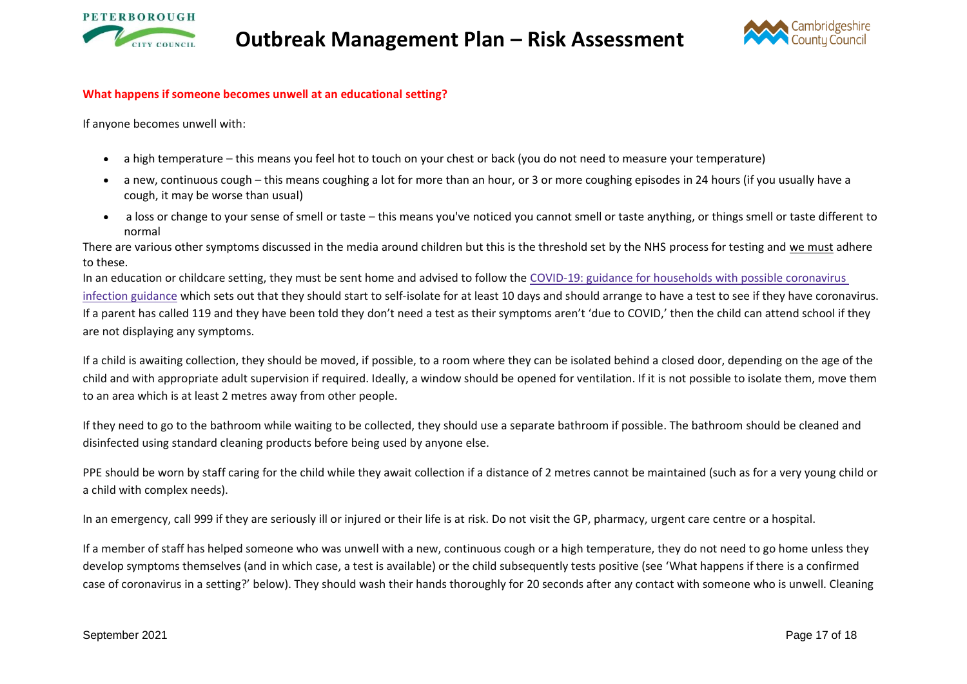



#### **What happens if someone becomes unwell at an educational setting?**

If anyone becomes unwell with:

- a high temperature this means you feel hot to touch on your chest or back (you do not need to measure your temperature)
- a new, continuous cough this means coughing a lot for more than an hour, or 3 or more coughing episodes in 24 hours (if you usually have a cough, it may be worse than usual)
- a loss or change to your sense of smell or taste this means you've noticed you cannot smell or taste anything, or things smell or taste different to normal

There are various other symptoms discussed in the media around children but this is the threshold set by the NHS process for testing and we must adhere to these.

In an education or childcare setting, they must be sent home and advised to follow the COVID-19: guidance for households with possible [coronavirus](https://www.gov.uk/government/publications/covid-19-stay-at-home-guidance) infection [guidance](https://www.gov.uk/government/publications/covid-19-stay-at-home-guidance) which sets out that they should start to self-isolate for at least 10 days and should arrange to have a test to see if they have coronavirus. If a parent has called 119 and they have been told they don't need a test as their symptoms aren't 'due to COVID,' then the child can attend school if they are not displaying any symptoms.

If a child is awaiting collection, they should be moved, if possible, to a room where they can be isolated behind a closed door, depending on the age of the child and with appropriate adult supervision if required. Ideally, a window should be opened for ventilation. If it is not possible to isolate them, move them to an area which is at least 2 metres away from other people.

If they need to go to the bathroom while waiting to be collected, they should use a separate bathroom if possible. The bathroom should be cleaned and disinfected using standard cleaning products before being used by anyone else.

PPE should be worn by staff caring for the child while they await collection if a distance of 2 metres cannot be maintained (such as for a very young child or a child with complex needs).

In an emergency, call 999 if they are seriously ill or injured or their life is at risk. Do not visit the GP, pharmacy, urgent care centre or a hospital.

If a member of staff has helped someone who was unwell with a new, continuous cough or a high temperature, they do not need to go home unless they develop symptoms themselves (and in which case, a test is available) or the child subsequently tests positive (see 'What happens if there is a confirmed case of coronavirus in a setting?' below). They should wash their hands thoroughly for 20 seconds after any contact with someone who is unwell. Cleaning